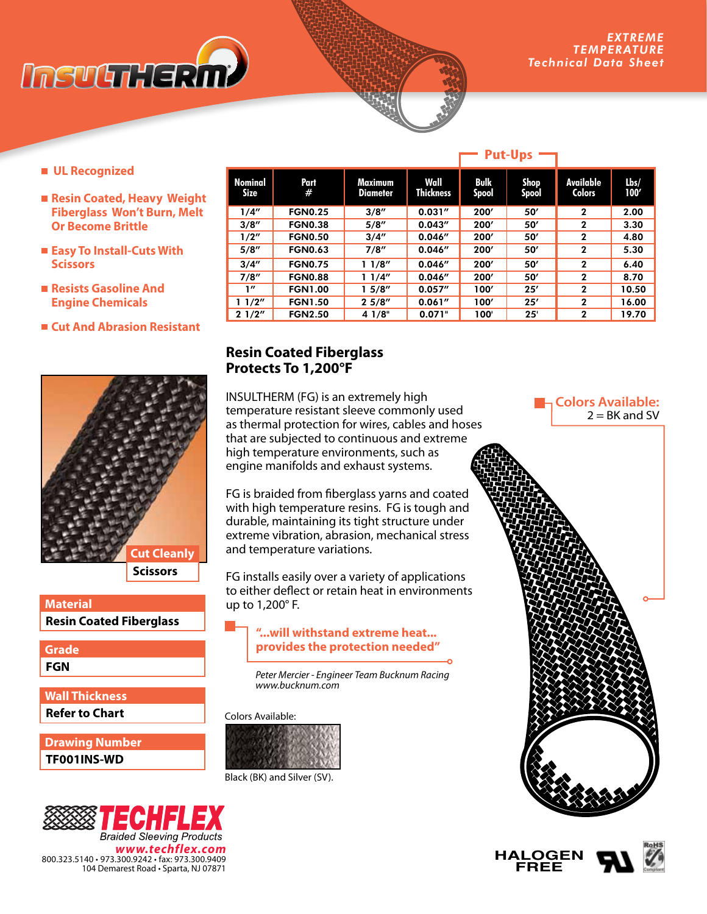

**Colors Available:**

 $2 = BK$  and SV

- **UL Recognized**
- Resin Coated, Heavy Weight **Fiberglass Won't Burn, Melt Or Become Brittle**
- **Easy To Install-Cuts With Scissors**
- **Resists Gasoline And Engine Chemicals**
- **Cut And Abrasion Resistant**



## **Resin Coated Fiberglass Material**

**FGN Grade**

**Refer to Chart Wall Thickness**

**TF001INS-WD Drawing Number**



| <b>Nominal</b><br><b>Size</b> | Part<br>#      | Maximum<br><b>Diameter</b> | Wall<br><b>Thickness</b> | <b>Bulk</b><br><b>Spool</b> | Shop<br>Spool | <b>Available</b><br><b>Colors</b> | Lbs/<br>100' |
|-------------------------------|----------------|----------------------------|--------------------------|-----------------------------|---------------|-----------------------------------|--------------|
|                               |                |                            |                          |                             |               |                                   |              |
| 1/4"                          | <b>FGN0.25</b> | 3/8''                      | 0.031''                  | 200'                        | 50'           | $\mathbf{2}$                      | 2.00         |
| 3/8''                         | <b>FGN0.38</b> | 5/8''                      | 0.043''                  | 200'                        | 50'           | $\mathbf{2}$                      | 3.30         |
| 1/2"                          | <b>FGN0.50</b> | 3/4''                      | 0.046''                  | 200'                        | 50'           | $\mathbf{2}$                      | 4.80         |
| 5/8''                         | <b>FGN0.63</b> | 7/8''                      | 0.046''                  | 200'                        | 50'           | $\mathbf{2}$                      | 5.30         |
| 3/4''                         | <b>FGN0.75</b> | 11/8''                     | 0.046''                  | 200'                        | 50'           | $\mathbf{2}$                      | 6.40         |
| 7/8''                         | <b>FGN0.88</b> | 11/4"                      | 0.046''                  | 200'                        | 50'           | $\mathbf{2}$                      | 8.70         |
| 1''                           | <b>FGN1.00</b> | 15/8''                     | 0.057''                  | 100'                        | 25'           | $\mathbf{2}$                      | 10.50        |
| 1/2"                          | <b>FGN1.50</b> | 25/8''                     | 0.061''                  | 100'                        | 25'           | $\mathbf{2}$                      | 16.00        |
| 21/2"                         | <b>FGN2.50</b> | 4 1/8"                     | 0.071"                   | 100'                        | 25'           | $\mathbf{2}$                      | 19.70        |

# **Resin Coated Fiberglass Protects To 1,200°F**

INSULTHERM (FG) is an extremely high temperature resistant sleeve commonly used as thermal protection for wires, cables and hoses that are subjected to continuous and extreme high temperature environments, such as engine manifolds and exhaust systems.

FG is braided from fiberglass yarns and coated with high temperature resins. FG is tough and durable, maintaining its tight structure under extreme vibration, abrasion, mechanical stress and temperature variations.

FG installs easily over a variety of applications to either deflect or retain heat in environments up to 1,200° F.

### **"...will withstand extreme heat... provides the protection needed"**

*Peter Mercier - Engineer Team Bucknum Racing www.bucknum.com*

Colors Available:





#### **Put-Ups**